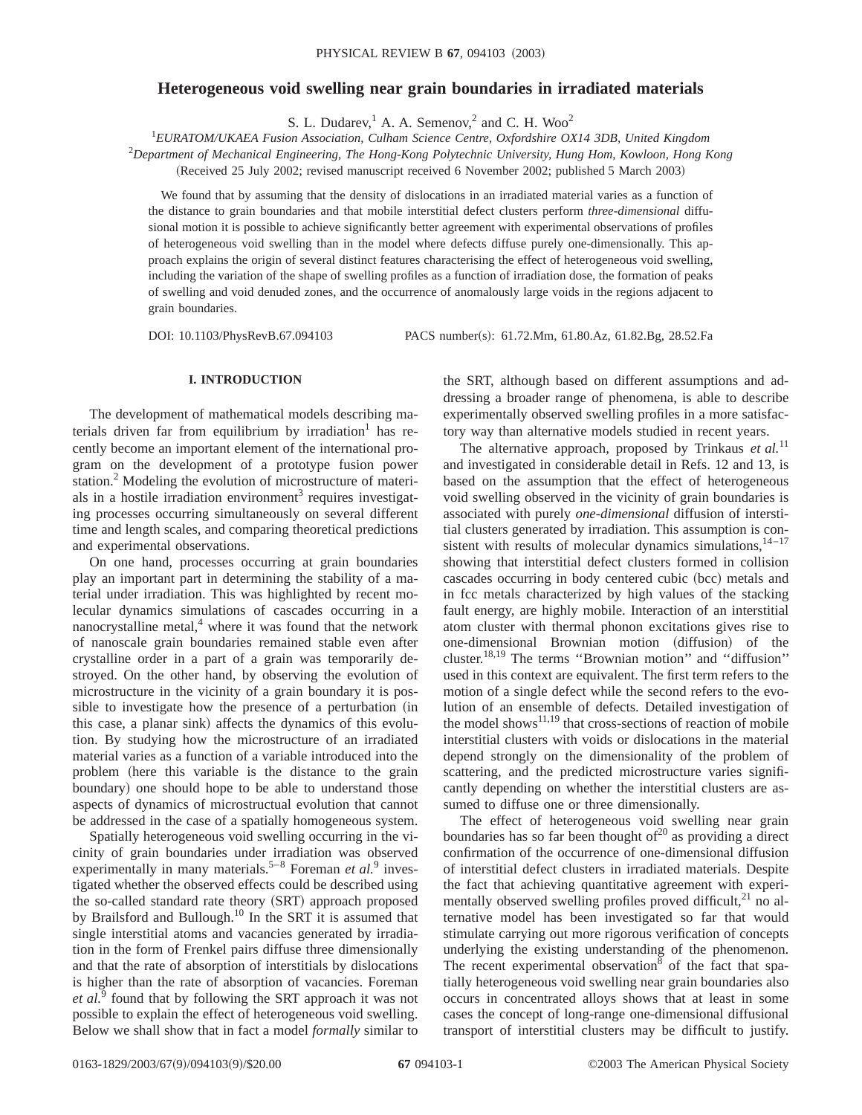# **Heterogeneous void swelling near grain boundaries in irradiated materials**

S. L. Dudarev,  $^1$  A. A. Semenov,  $^2$  and C. H. Woo<sup>2</sup>

1 *EURATOM/UKAEA Fusion Association, Culham Science Centre, Oxfordshire OX14 3DB, United Kingdom*

2 *Department of Mechanical Engineering, The Hong-Kong Polytechnic University, Hung Hom, Kowloon, Hong Kong*

(Received 25 July 2002; revised manuscript received 6 November 2002; published 5 March 2003)

We found that by assuming that the density of dislocations in an irradiated material varies as a function of the distance to grain boundaries and that mobile interstitial defect clusters perform *three-dimensional* diffusional motion it is possible to achieve significantly better agreement with experimental observations of profiles of heterogeneous void swelling than in the model where defects diffuse purely one-dimensionally. This approach explains the origin of several distinct features characterising the effect of heterogeneous void swelling, including the variation of the shape of swelling profiles as a function of irradiation dose, the formation of peaks of swelling and void denuded zones, and the occurrence of anomalously large voids in the regions adjacent to grain boundaries.

DOI: 10.1103/PhysRevB.67.094103 PACS number(s): 61.72.Mm, 61.80.Az, 61.82.Bg, 28.52.Fa

## **I. INTRODUCTION**

The development of mathematical models describing materials driven far from equilibrium by irradiation<sup>1</sup> has recently become an important element of the international program on the development of a prototype fusion power station.<sup>2</sup> Modeling the evolution of microstructure of materials in a hostile irradiation environment<sup>3</sup> requires investigating processes occurring simultaneously on several different time and length scales, and comparing theoretical predictions and experimental observations.

On one hand, processes occurring at grain boundaries play an important part in determining the stability of a material under irradiation. This was highlighted by recent molecular dynamics simulations of cascades occurring in a nanocrystalline metal, $4$  where it was found that the network of nanoscale grain boundaries remained stable even after crystalline order in a part of a grain was temporarily destroyed. On the other hand, by observing the evolution of microstructure in the vicinity of a grain boundary it is possible to investigate how the presence of a perturbation (in this case, a planar sink) affects the dynamics of this evolution. By studying how the microstructure of an irradiated material varies as a function of a variable introduced into the problem (here this variable is the distance to the grain boundary) one should hope to be able to understand those aspects of dynamics of microstructual evolution that cannot be addressed in the case of a spatially homogeneous system.

Spatially heterogeneous void swelling occurring in the vicinity of grain boundaries under irradiation was observed experimentally in many materials.<sup>5–8</sup> Foreman *et al.*<sup>9</sup> investigated whether the observed effects could be described using the so-called standard rate theory (SRT) approach proposed by Brailsford and Bullough.<sup>10</sup> In the SRT it is assumed that single interstitial atoms and vacancies generated by irradiation in the form of Frenkel pairs diffuse three dimensionally and that the rate of absorption of interstitials by dislocations is higher than the rate of absorption of vacancies. Foreman *et al.*<sup>9</sup> found that by following the SRT approach it was not possible to explain the effect of heterogeneous void swelling. Below we shall show that in fact a model *formally* similar to the SRT, although based on different assumptions and addressing a broader range of phenomena, is able to describe experimentally observed swelling profiles in a more satisfactory way than alternative models studied in recent years.

The alternative approach, proposed by Trinkaus et al.<sup>11</sup> and investigated in considerable detail in Refs. 12 and 13, is based on the assumption that the effect of heterogeneous void swelling observed in the vicinity of grain boundaries is associated with purely *one-dimensional* diffusion of interstitial clusters generated by irradiation. This assumption is consistent with results of molecular dynamics simulations, $14-17$ showing that interstitial defect clusters formed in collision cascades occurring in body centered cubic (bcc) metals and in fcc metals characterized by high values of the stacking fault energy, are highly mobile. Interaction of an interstitial atom cluster with thermal phonon excitations gives rise to one-dimensional Brownian motion (diffusion) of the cluster.18,19 The terms ''Brownian motion'' and ''diffusion'' used in this context are equivalent. The first term refers to the motion of a single defect while the second refers to the evolution of an ensemble of defects. Detailed investigation of the model shows $^{11,19}$  that cross-sections of reaction of mobile interstitial clusters with voids or dislocations in the material depend strongly on the dimensionality of the problem of scattering, and the predicted microstructure varies significantly depending on whether the interstitial clusters are assumed to diffuse one or three dimensionally.

The effect of heterogeneous void swelling near grain boundaries has so far been thought of $20$  as providing a direct confirmation of the occurrence of one-dimensional diffusion of interstitial defect clusters in irradiated materials. Despite the fact that achieving quantitative agreement with experimentally observed swelling profiles proved difficult, $^{21}$  no alternative model has been investigated so far that would stimulate carrying out more rigorous verification of concepts underlying the existing understanding of the phenomenon. The recent experimental observation<sup>8</sup> of the fact that spatially heterogeneous void swelling near grain boundaries also occurs in concentrated alloys shows that at least in some cases the concept of long-range one-dimensional diffusional transport of interstitial clusters may be difficult to justify.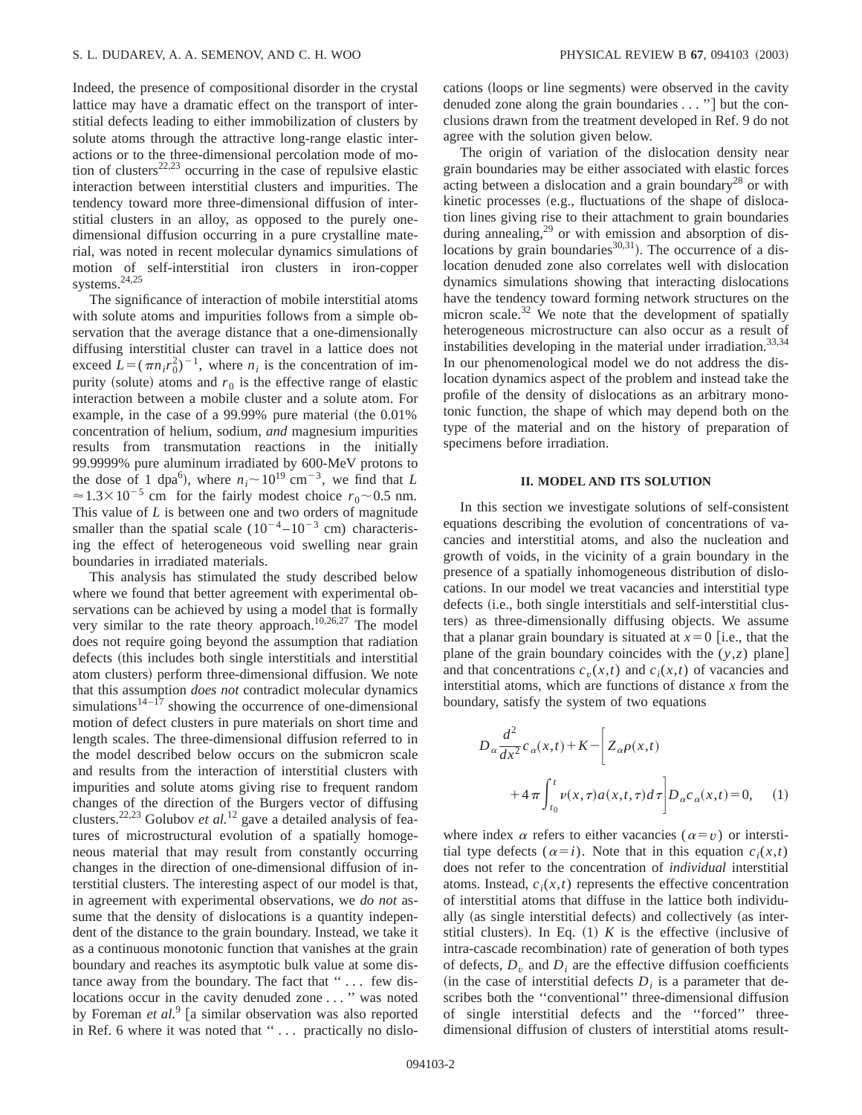Indeed, the presence of compositional disorder in the crystal lattice may have a dramatic effect on the transport of interstitial defects leading to either immobilization of clusters by solute atoms through the attractive long-range elastic interactions or to the three-dimensional percolation mode of motion of clusters<sup>22,23</sup> occurring in the case of repulsive elastic interaction between interstitial clusters and impurities. The tendency toward more three-dimensional diffusion of interstitial clusters in an alloy, as opposed to the purely onedimensional diffusion occurring in a pure crystalline material, was noted in recent molecular dynamics simulations of motion of self-interstitial iron clusters in iron-copper systems. $24,25$ 

The significance of interaction of mobile interstitial atoms with solute atoms and impurities follows from a simple observation that the average distance that a one-dimensionally diffusing interstitial cluster can travel in a lattice does not exceed  $L = (\pi n_i r_0^2)^{-1}$ , where  $n_i$  is the concentration of impurity (solute) atoms and  $r_0$  is the effective range of elastic interaction between a mobile cluster and a solute atom. For example, in the case of a  $99.99\%$  pure material (the  $0.01\%$ ) concentration of helium, sodium, *and* magnesium impurities results from transmutation reactions in the initially 99.9999% pure aluminum irradiated by 600-MeV protons to the dose of 1 dpa<sup>6</sup>), where  $n_i \sim 10^{19}$  cm<sup>-3</sup>, we find that *L*  $\approx$  1.3×10<sup>-5</sup> cm for the fairly modest choice  $r_0$ ~0.5 nm. This value of *L* is between one and two orders of magnitude smaller than the spatial scale  $(10^{-4} - 10^{-3}$  cm) characterising the effect of heterogeneous void swelling near grain boundaries in irradiated materials.

This analysis has stimulated the study described below where we found that better agreement with experimental observations can be achieved by using a model that is formally very similar to the rate theory approach.<sup>10,26,27</sup> The model does not require going beyond the assumption that radiation defects (this includes both single interstitials and interstitial atom clusters) perform three-dimensional diffusion. We note that this assumption *does not* contradict molecular dynamics simulations $1^{4-17}$  showing the occurrence of one-dimensional motion of defect clusters in pure materials on short time and length scales. The three-dimensional diffusion referred to in the model described below occurs on the submicron scale and results from the interaction of interstitial clusters with impurities and solute atoms giving rise to frequent random changes of the direction of the Burgers vector of diffusing clusters.22,23 Golubov *et al.*<sup>12</sup> gave a detailed analysis of features of microstructural evolution of a spatially homogeneous material that may result from constantly occurring changes in the direction of one-dimensional diffusion of interstitial clusters. The interesting aspect of our model is that, in agreement with experimental observations, we *do not* assume that the density of dislocations is a quantity independent of the distance to the grain boundary. Instead, we take it as a continuous monotonic function that vanishes at the grain boundary and reaches its asymptotic bulk value at some distance away from the boundary. The fact that "... few dislocations occur in the cavity denuded zone . . . '' was noted by Foreman *et al.*<sup>9</sup> [a similar observation was also reported in Ref. 6 where it was noted that ''... practically no dislocations (loops or line segments) were observed in the cavity denuded zone along the grain boundaries  $\dots$ "] but the conclusions drawn from the treatment developed in Ref. 9 do not agree with the solution given below.

The origin of variation of the dislocation density near grain boundaries may be either associated with elastic forces acting between a dislocation and a grain boundary<sup>28</sup> or with kinetic processes (e.g., fluctuations of the shape of dislocation lines giving rise to their attachment to grain boundaries during annealing, $29$  or with emission and absorption of dislocations by grain boundaries $30,31$ . The occurrence of a dislocation denuded zone also correlates well with dislocation dynamics simulations showing that interacting dislocations have the tendency toward forming network structures on the micron scale. $32$  We note that the development of spatially heterogeneous microstructure can also occur as a result of instabilities developing in the material under irradiation.<sup>33,34</sup> In our phenomenological model we do not address the dislocation dynamics aspect of the problem and instead take the profile of the density of dislocations as an arbitrary monotonic function, the shape of which may depend both on the type of the material and on the history of preparation of specimens before irradiation.

### **II. MODEL AND ITS SOLUTION**

In this section we investigate solutions of self-consistent equations describing the evolution of concentrations of vacancies and interstitial atoms, and also the nucleation and growth of voids, in the vicinity of a grain boundary in the presence of a spatially inhomogeneous distribution of dislocations. In our model we treat vacancies and interstitial type defects (i.e., both single interstitials and self-interstitial clusters) as three-dimensionally diffusing objects. We assume that a planar grain boundary is situated at  $x=0$  [i.e., that the plane of the grain boundary coincides with the  $(y, z)$  plane and that concentrations  $c_v(x,t)$  and  $c_i(x,t)$  of vacancies and interstitial atoms, which are functions of distance *x* from the boundary, satisfy the system of two equations

$$
D_{\alpha} \frac{d^2}{dx^2} c_{\alpha}(x,t) + K - \left[ Z_{\alpha} \rho(x,t) + 4 \pi \int_{t_0}^t \nu(x,\tau) a(x,t,\tau) d\tau \right] D_{\alpha} c_{\alpha}(x,t) = 0, \quad (1)
$$

where index  $\alpha$  refers to either vacancies ( $\alpha = v$ ) or interstitial type defects  $(\alpha=i)$ . Note that in this equation  $c_i(x,t)$ does not refer to the concentration of *individual* interstitial atoms. Instead,  $c_i(x,t)$  represents the effective concentration of interstitial atoms that diffuse in the lattice both individually (as single interstitial defects) and collectively (as interstitial clusters). In Eq.  $(1)$  *K* is the effective (inclusive of intra-cascade recombination) rate of generation of both types of defects,  $D<sub>v</sub>$  and  $D<sub>i</sub>$  are the effective diffusion coefficients  $(in the case of interstitial defects  $D_i$  is a parameter that de$ scribes both the ''conventional'' three-dimensional diffusion of single interstitial defects and the ''forced'' threedimensional diffusion of clusters of interstitial atoms result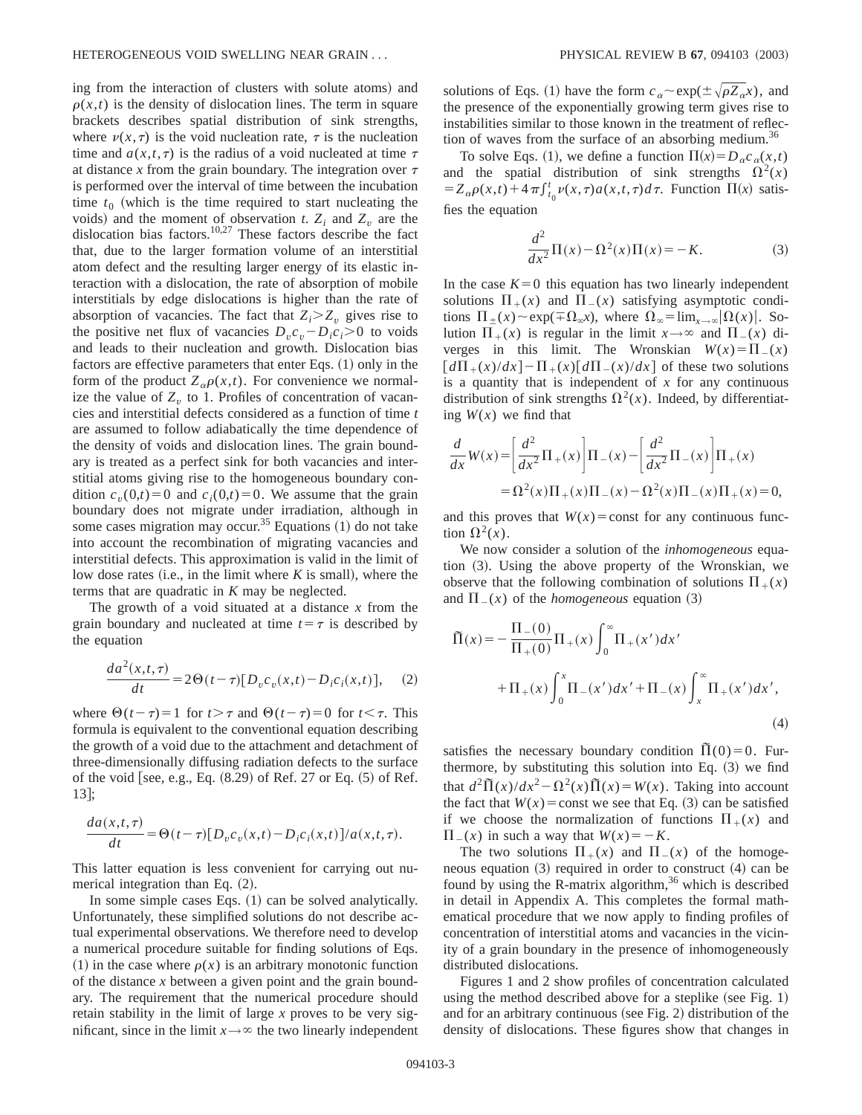ing from the interaction of clusters with solute atoms) and  $\rho(x,t)$  is the density of dislocation lines. The term in square brackets describes spatial distribution of sink strengths, where  $\nu(x, \tau)$  is the void nucleation rate,  $\tau$  is the nucleation time and  $a(x,t,\tau)$  is the radius of a void nucleated at time  $\tau$ at distance  $x$  from the grain boundary. The integration over  $\tau$ is performed over the interval of time between the incubation time  $t_0$  (which is the time required to start nucleating the voids) and the moment of observation *t*.  $Z_i$  and  $Z_v$  are the dislocation bias factors.<sup>10,27</sup> These factors describe the fact that, due to the larger formation volume of an interstitial atom defect and the resulting larger energy of its elastic interaction with a dislocation, the rate of absorption of mobile interstitials by edge dislocations is higher than the rate of absorption of vacancies. The fact that  $Z_i \geq Z_i$  gives rise to the positive net flux of vacancies  $D_v c_v - D_i c_i > 0$  to voids and leads to their nucleation and growth. Dislocation bias factors are effective parameters that enter Eqs.  $(1)$  only in the form of the product  $Z_{\alpha}\rho(x,t)$ . For convenience we normalize the value of  $Z<sub>v</sub>$  to 1. Profiles of concentration of vacancies and interstitial defects considered as a function of time *t* are assumed to follow adiabatically the time dependence of the density of voids and dislocation lines. The grain boundary is treated as a perfect sink for both vacancies and interstitial atoms giving rise to the homogeneous boundary condition  $c_v(0,t)=0$  and  $c_i(0,t)=0$ . We assume that the grain boundary does not migrate under irradiation, although in some cases migration may occur.<sup>35</sup> Equations  $(1)$  do not take into account the recombination of migrating vacancies and interstitial defects. This approximation is valid in the limit of low dose rates (i.e., in the limit where  $K$  is small), where the terms that are quadratic in *K* may be neglected.

The growth of a void situated at a distance *x* from the grain boundary and nucleated at time  $t=\tau$  is described by the equation

$$
\frac{da^2(x,t,\tau)}{dt} = 2\Theta(t-\tau)[D_v c_v(x,t) - D_i c_i(x,t)], \quad (2)
$$

where  $\Theta(t-\tau)=1$  for  $t > \tau$  and  $\Theta(t-\tau)=0$  for  $t < \tau$ . This formula is equivalent to the conventional equation describing the growth of a void due to the attachment and detachment of three-dimensionally diffusing radiation defects to the surface of the void [see, e.g., Eq.  $(8.29)$  of Ref. 27 or Eq.  $(5)$  of Ref.  $13$  ;

$$
\frac{da(x,t,\tau)}{dt} = \Theta(t-\tau)[D_v c_v(x,t) - D_i c_i(x,t)]/a(x,t,\tau).
$$

This latter equation is less convenient for carrying out numerical integration than Eq.  $(2)$ .

In some simple cases Eqs.  $(1)$  can be solved analytically. Unfortunately, these simplified solutions do not describe actual experimental observations. We therefore need to develop a numerical procedure suitable for finding solutions of Eqs. (1) in the case where  $\rho(x)$  is an arbitrary monotonic function of the distance *x* between a given point and the grain boundary. The requirement that the numerical procedure should retain stability in the limit of large *x* proves to be very significant, since in the limit  $x \rightarrow \infty$  the two linearly independent solutions of Eqs. (1) have the form  $c_a \sim \exp(\pm \sqrt{\rho Z_a x})$ , and the presence of the exponentially growing term gives rise to instabilities similar to those known in the treatment of reflection of waves from the surface of an absorbing medium.<sup>36</sup>

To solve Eqs. (1), we define a function  $\Pi(x) = D_{\alpha} c_{\alpha}(x,t)$ and the spatial distribution of sink strengths  $\Omega^2(x)$  $= Z_{\alpha}\rho(x,t) + 4\pi\int_{t_0}^t \nu(x,\tau) a(x,t,\tau) d\tau$ . Function  $\Pi(x)$  satisfies the equation

$$
\frac{d^2}{dx^2}\Pi(x) - \Omega^2(x)\Pi(x) = -K.
$$
 (3)

In the case  $K=0$  this equation has two linearly independent solutions  $\Pi_+(x)$  and  $\Pi_-(x)$  satisfying asymptotic conditions  $\Pi_{\pm}(x) \sim \exp(\mp \Omega_{\infty}x)$ , where  $\Omega_{\infty} = \lim_{x \to \infty} |\Omega(x)|$ . Solution  $\Pi_+(x)$  is regular in the limit  $x \to \infty$  and  $\Pi_-(x)$  diverges in this limit. The Wronskian  $W(x) = \prod_{x=0}^{\infty} I(x)$  $\left[d\Pi_+(x)/dx\right]-\Pi_+(x)\left[d\Pi_-(x)/dx\right]$  of these two solutions is a quantity that is independent of *x* for any continuous distribution of sink strengths  $\Omega^2(x)$ . Indeed, by differentiating  $W(x)$  we find that

$$
\frac{d}{dx}W(x) = \left[\frac{d^2}{dx^2}\Pi_+(x)\right]\Pi_-(x) - \left[\frac{d^2}{dx^2}\Pi_-(x)\right]\Pi_+(x) \n= \Omega^2(x)\Pi_+(x)\Pi_-(x) - \Omega^2(x)\Pi_-(x)\Pi_+(x) = 0,
$$

and this proves that  $W(x) =$ const for any continuous function  $\Omega^2(x)$ .

We now consider a solution of the *inhomogeneous* equation  $(3)$ . Using the above property of the Wronskian, we observe that the following combination of solutions  $\Pi_+(x)$ and  $\Pi(x)$  of the *homogeneous* equation (3)

$$
\Pi(x) = -\frac{\Pi_{-}(0)}{\Pi_{+}(0)} \Pi_{+}(x) \int_{0}^{\infty} \Pi_{+}(x') dx' \n+ \Pi_{+}(x) \int_{0}^{x} \Pi_{-}(x') dx' + \Pi_{-}(x) \int_{x}^{\infty} \Pi_{+}(x') dx',
$$
\n(4)

satisfies the necessary boundary condition  $\overline{\Pi}(0)=0$ . Furthermore, by substituting this solution into Eq.  $(3)$  we find that  $d^2 \tilde{\Pi}(x)/dx^2 - \Omega^2(x)\tilde{\Pi}(x) = W(x)$ . Taking into account the fact that  $W(x) =$ const we see that Eq. (3) can be satisfied if we choose the normalization of functions  $\Pi_+(x)$  and  $\Pi(x)$  in such a way that  $W(x) = -K$ .

The two solutions  $\Pi_+(x)$  and  $\Pi_-(x)$  of the homogeneous equation  $(3)$  required in order to construct  $(4)$  can be found by using the R-matrix algorithm, $36$  which is described in detail in Appendix A. This completes the formal mathematical procedure that we now apply to finding profiles of concentration of interstitial atoms and vacancies in the vicinity of a grain boundary in the presence of inhomogeneously distributed dislocations.

Figures 1 and 2 show profiles of concentration calculated using the method described above for a steplike (see Fig. 1) and for an arbitrary continuous (see Fig. 2) distribution of the density of dislocations. These figures show that changes in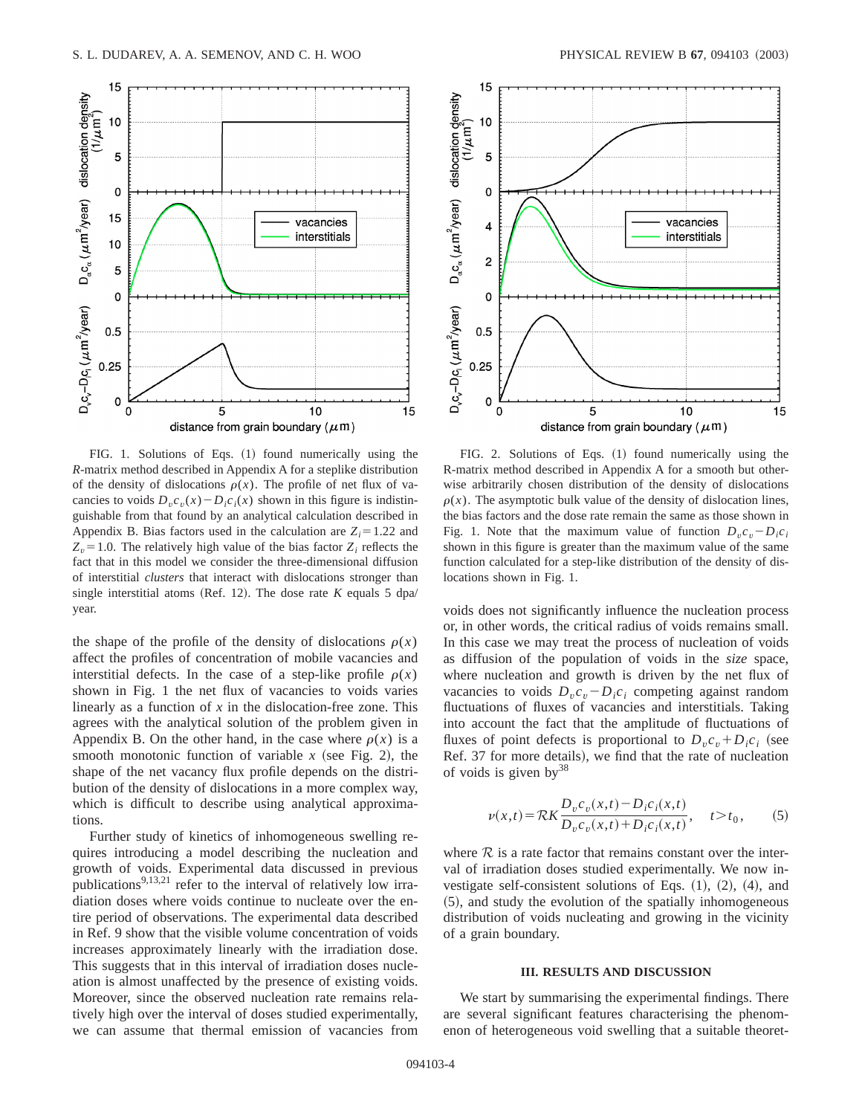

FIG. 1. Solutions of Eqs.  $(1)$  found numerically using the *R*-matrix method described in Appendix A for a steplike distribution of the density of dislocations  $\rho(x)$ . The profile of net flux of vacancies to voids  $D_v c_v(x) - D_i c_i(x)$  shown in this figure is indistinguishable from that found by an analytical calculation described in Appendix B. Bias factors used in the calculation are  $Z_i = 1.22$  and  $Z<sub>v</sub>=1.0$ . The relatively high value of the bias factor  $Z<sub>i</sub>$  reflects the fact that in this model we consider the three-dimensional diffusion of interstitial *clusters* that interact with dislocations stronger than single interstitial atoms (Ref. 12). The dose rate  $K$  equals 5 dpa/ year.

the shape of the profile of the density of dislocations  $\rho(x)$ affect the profiles of concentration of mobile vacancies and interstitial defects. In the case of a step-like profile  $\rho(x)$ shown in Fig. 1 the net flux of vacancies to voids varies linearly as a function of *x* in the dislocation-free zone. This agrees with the analytical solution of the problem given in Appendix B. On the other hand, in the case where  $\rho(x)$  is a smooth monotonic function of variable  $x$  (see Fig. 2), the shape of the net vacancy flux profile depends on the distribution of the density of dislocations in a more complex way, which is difficult to describe using analytical approximations.

Further study of kinetics of inhomogeneous swelling requires introducing a model describing the nucleation and growth of voids. Experimental data discussed in previous publications<sup>9,13,21</sup> refer to the interval of relatively low irradiation doses where voids continue to nucleate over the entire period of observations. The experimental data described in Ref. 9 show that the visible volume concentration of voids increases approximately linearly with the irradiation dose. This suggests that in this interval of irradiation doses nucleation is almost unaffected by the presence of existing voids. Moreover, since the observed nucleation rate remains relatively high over the interval of doses studied experimentally, we can assume that thermal emission of vacancies from



FIG. 2. Solutions of Eqs.  $(1)$  found numerically using the R-matrix method described in Appendix A for a smooth but otherwise arbitrarily chosen distribution of the density of dislocations  $\rho(x)$ . The asymptotic bulk value of the density of dislocation lines, the bias factors and the dose rate remain the same as those shown in Fig. 1. Note that the maximum value of function  $D_{v}c_{v} - D_{i}c_{i}$ shown in this figure is greater than the maximum value of the same function calculated for a step-like distribution of the density of dislocations shown in Fig. 1.

voids does not significantly influence the nucleation process or, in other words, the critical radius of voids remains small. In this case we may treat the process of nucleation of voids as diffusion of the population of voids in the *size* space, where nucleation and growth is driven by the net flux of vacancies to voids  $D_v c_v - D_i c_i$  competing against random fluctuations of fluxes of vacancies and interstitials. Taking into account the fact that the amplitude of fluctuations of fluxes of point defects is proportional to  $D_v c_v + D_i c_i$  (see Ref. 37 for more details), we find that the rate of nucleation of voids is given by  $38$ 

$$
\nu(x,t) = \mathcal{R}K \frac{D_v c_v(x,t) - D_i c_i(x,t)}{D_v c_v(x,t) + D_i c_i(x,t)}, \quad t > t_0,
$$
 (5)

where  $R$  is a rate factor that remains constant over the interval of irradiation doses studied experimentally. We now investigate self-consistent solutions of Eqs.  $(1)$ ,  $(2)$ ,  $(4)$ , and ~5!, and study the evolution of the spatially inhomogeneous distribution of voids nucleating and growing in the vicinity of a grain boundary.

#### **III. RESULTS AND DISCUSSION**

We start by summarising the experimental findings. There are several significant features characterising the phenomenon of heterogeneous void swelling that a suitable theoret-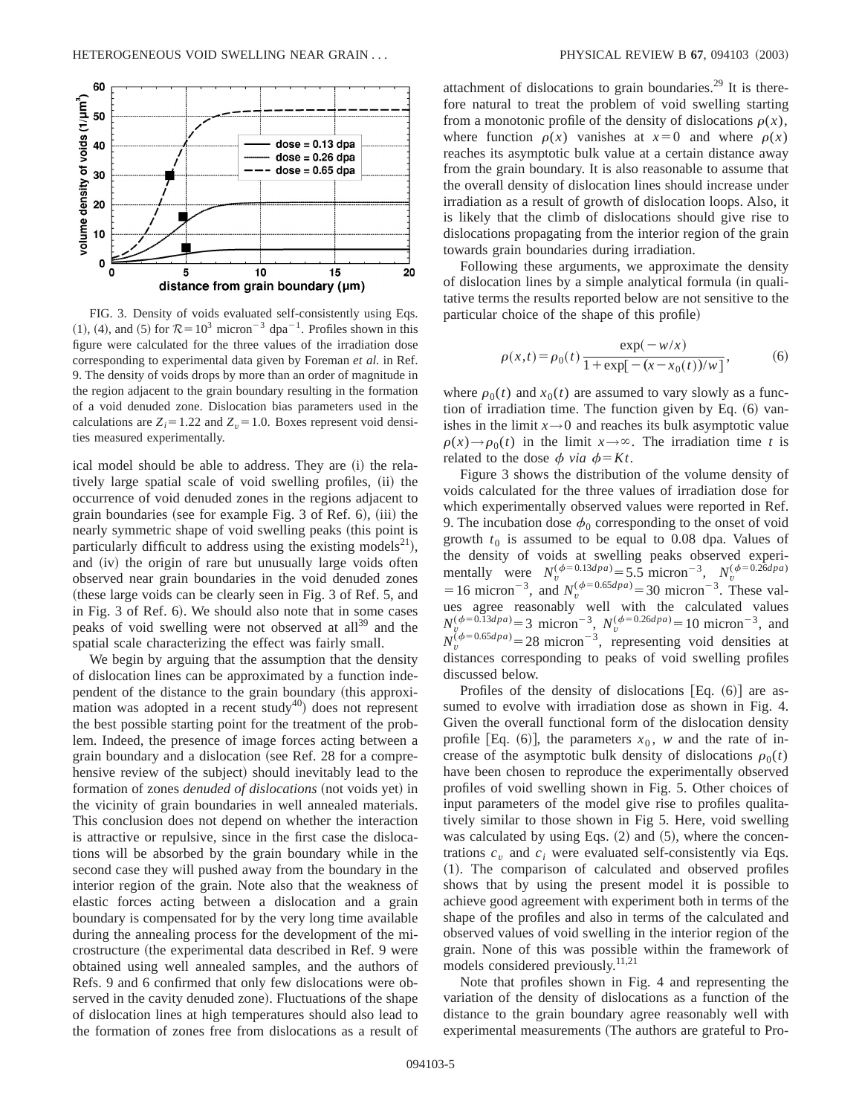

FIG. 3. Density of voids evaluated self-consistently using Eqs.  $(1)$ ,  $(4)$ , and  $(5)$  for  $\mathcal{R} = 10^3$  micron<sup>-3</sup> dpa<sup>-1</sup>. Profiles shown in this figure were calculated for the three values of the irradiation dose corresponding to experimental data given by Foreman *et al.* in Ref. 9. The density of voids drops by more than an order of magnitude in the region adjacent to the grain boundary resulting in the formation of a void denuded zone. Dislocation bias parameters used in the calculations are  $Z_i = 1.22$  and  $Z_v = 1.0$ . Boxes represent void densities measured experimentally.

ical model should be able to address. They are  $(i)$  the relatively large spatial scale of void swelling profiles, (ii) the occurrence of void denuded zones in the regions adjacent to grain boundaries (see for example Fig. 3 of Ref. 6), (iii) the nearly symmetric shape of void swelling peaks (this point is particularly difficult to address using the existing models<sup>21</sup>), and (iv) the origin of rare but unusually large voids often observed near grain boundaries in the void denuded zones (these large voids can be clearly seen in Fig. 3 of Ref. 5, and in Fig. 3 of Ref. 6). We should also note that in some cases peaks of void swelling were not observed at all<sup>39</sup> and the spatial scale characterizing the effect was fairly small.

We begin by arguing that the assumption that the density of dislocation lines can be approximated by a function independent of the distance to the grain boundary (this approximation was adopted in a recent study<sup>40</sup>) does not represent the best possible starting point for the treatment of the problem. Indeed, the presence of image forces acting between a grain boundary and a dislocation (see Ref. 28 for a comprehensive review of the subject) should inevitably lead to the formation of zones *denuded of dislocations* (not voids yet) in the vicinity of grain boundaries in well annealed materials. This conclusion does not depend on whether the interaction is attractive or repulsive, since in the first case the dislocations will be absorbed by the grain boundary while in the second case they will pushed away from the boundary in the interior region of the grain. Note also that the weakness of elastic forces acting between a dislocation and a grain boundary is compensated for by the very long time available during the annealing process for the development of the microstructure (the experimental data described in Ref. 9 were obtained using well annealed samples, and the authors of Refs. 9 and 6 confirmed that only few dislocations were observed in the cavity denuded zone). Fluctuations of the shape of dislocation lines at high temperatures should also lead to the formation of zones free from dislocations as a result of

attachment of dislocations to grain boundaries.<sup>29</sup> It is therefore natural to treat the problem of void swelling starting from a monotonic profile of the density of dislocations  $\rho(x)$ , where function  $\rho(x)$  vanishes at  $x=0$  and where  $\rho(x)$ reaches its asymptotic bulk value at a certain distance away from the grain boundary. It is also reasonable to assume that the overall density of dislocation lines should increase under irradiation as a result of growth of dislocation loops. Also, it is likely that the climb of dislocations should give rise to dislocations propagating from the interior region of the grain towards grain boundaries during irradiation.

Following these arguments, we approximate the density of dislocation lines by a simple analytical formula (in qualitative terms the results reported below are not sensitive to the particular choice of the shape of this profile)

$$
\rho(x,t) = \rho_0(t) \frac{\exp(-w/x)}{1 + \exp[-(x - x_0(t))/w]},
$$
\n(6)

where  $\rho_0(t)$  and  $x_0(t)$  are assumed to vary slowly as a function of irradiation time. The function given by Eq.  $(6)$  vanishes in the limit  $x \rightarrow 0$  and reaches its bulk asymptotic value  $\rho(x) \rightarrow \rho_0(t)$  in the limit  $x \rightarrow \infty$ . The irradiation time *t* is related to the dose  $\phi$  *via*  $\phi = Kt$ .

Figure 3 shows the distribution of the volume density of voids calculated for the three values of irradiation dose for which experimentally observed values were reported in Ref. 9. The incubation dose  $\phi_0$  corresponding to the onset of void growth  $t_0$  is assumed to be equal to 0.08 dpa. Values of the density of voids at swelling peaks observed experimentally were  $N_v^{(\phi=0.13dp_a)} = 5.5 \text{ micron}^{-3}$ ,  $N_v^{(\phi=0.26dp_a)}$ = 16 micron<sup>-3</sup>, and  $N_v^{(\phi=0.65dp)} = 30$  micron<sup>-3</sup>. These values agree reasonably well with the calculated values  $N_v^{(\phi=0.13dp_a)}$  = 3 micron<sup>-3</sup>,  $N_v^{(\phi=0.26dp_a)}$  = 10 micron<sup>-3</sup>, and  $N_v^{(\phi=0.65dp_a)}$  = 28 micron<sup>-3</sup>, representing void densities at distances corresponding to peaks of void swelling profiles discussed below.

Profiles of the density of dislocations  $[Eq. (6)]$  are assumed to evolve with irradiation dose as shown in Fig. 4. Given the overall functional form of the dislocation density profile [Eq.  $(6)$ ], the parameters  $x_0$ , *w* and the rate of increase of the asymptotic bulk density of dislocations  $\rho_0(t)$ have been chosen to reproduce the experimentally observed profiles of void swelling shown in Fig. 5. Other choices of input parameters of the model give rise to profiles qualitatively similar to those shown in Fig 5. Here, void swelling was calculated by using Eqs.  $(2)$  and  $(5)$ , where the concentrations  $c_v$  and  $c_i$  were evaluated self-consistently via Eqs. ~1!. The comparison of calculated and observed profiles shows that by using the present model it is possible to achieve good agreement with experiment both in terms of the shape of the profiles and also in terms of the calculated and observed values of void swelling in the interior region of the grain. None of this was possible within the framework of models considered previously.11,21

Note that profiles shown in Fig. 4 and representing the variation of the density of dislocations as a function of the distance to the grain boundary agree reasonably well with experimental measurements (The authors are grateful to Pro-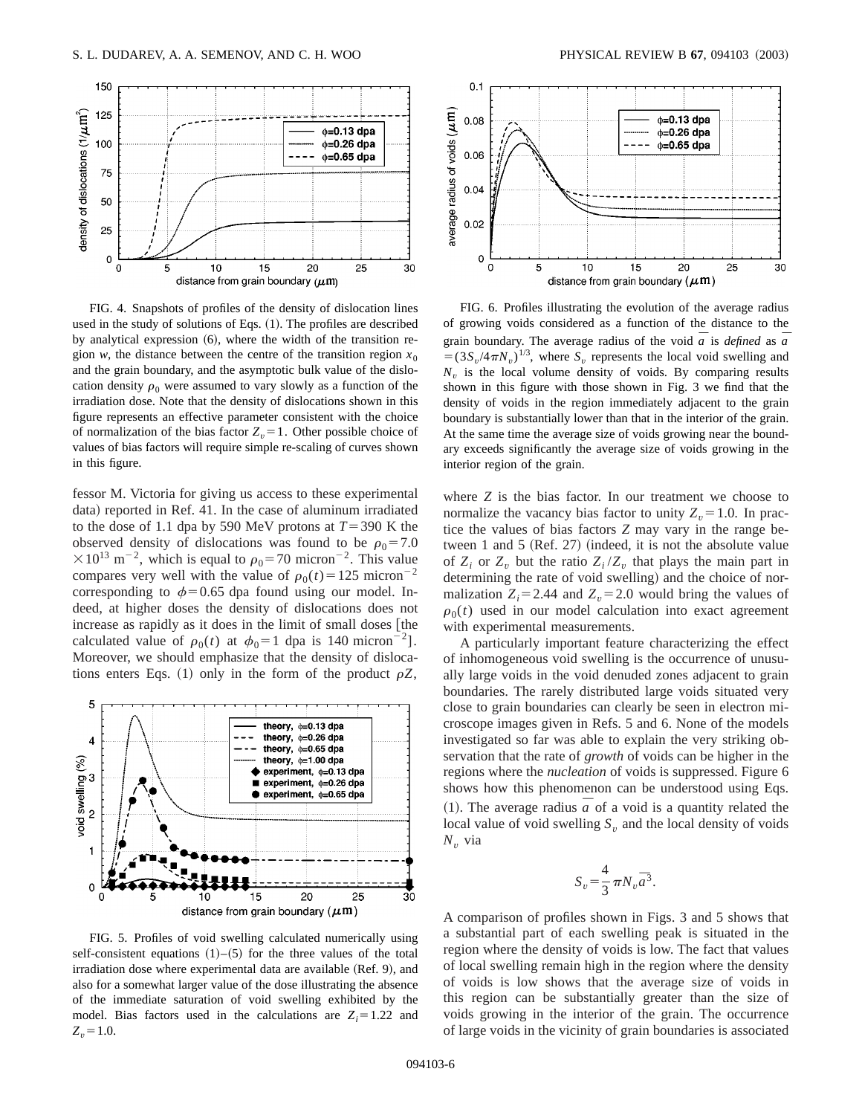

FIG. 4. Snapshots of profiles of the density of dislocation lines used in the study of solutions of Eqs.  $(1)$ . The profiles are described by analytical expression  $(6)$ , where the width of the transition region *w*, the distance between the centre of the transition region  $x_0$ and the grain boundary, and the asymptotic bulk value of the dislocation density  $\rho_0$  were assumed to vary slowly as a function of the irradiation dose. Note that the density of dislocations shown in this figure represents an effective parameter consistent with the choice of normalization of the bias factor  $Z_v = 1$ . Other possible choice of values of bias factors will require simple re-scaling of curves shown in this figure.

fessor M. Victoria for giving us access to these experimental data) reported in Ref. 41. In the case of aluminum irradiated to the dose of 1.1 dpa by 590 MeV protons at  $T=390$  K the observed density of dislocations was found to be  $\rho_0 = 7.0$  $\times$ 10<sup>13</sup> m<sup>-2</sup>, which is equal to  $\rho_0$ =70 micron<sup>-2</sup>. This value compares very well with the value of  $\rho_0(t) = 125$  micron<sup>-2</sup> corresponding to  $\phi$ =0.65 dpa found using our model. Indeed, at higher doses the density of dislocations does not  $increases$  as rapidly as it does in the limit of small doses [the calculated value of  $\rho_0(t)$  at  $\phi_0=1$  dpa is 140 micron<sup>-2</sup>]. Moreover, we should emphasize that the density of dislocations enters Eqs. (1) only in the form of the product  $\rho Z$ ,



FIG. 5. Profiles of void swelling calculated numerically using self-consistent equations  $(1)$ – $(5)$  for the three values of the total irradiation dose where experimental data are available  $(Ref. 9)$ , and also for a somewhat larger value of the dose illustrating the absence of the immediate saturation of void swelling exhibited by the model. Bias factors used in the calculations are  $Z_i = 1.22$  and  $Z_v = 1.0$ .



FIG. 6. Profiles illustrating the evolution of the average radius of growing voids considered as a function of the distance to the grain boundary. The average radius of the void  $\overline{a}$  is *defined* as  $\overline{a}$  $= (3S_v/4\pi N_v)^{1/3}$ , where  $S_v$  represents the local void swelling and  $N_v$  is the local volume density of voids. By comparing results shown in this figure with those shown in Fig. 3 we find that the density of voids in the region immediately adjacent to the grain boundary is substantially lower than that in the interior of the grain. At the same time the average size of voids growing near the boundary exceeds significantly the average size of voids growing in the interior region of the grain.

where *Z* is the bias factor. In our treatment we choose to normalize the vacancy bias factor to unity  $Z<sub>v</sub> = 1.0$ . In practice the values of bias factors *Z* may vary in the range between 1 and 5  $(Ref. 27)$  (indeed, it is not the absolute value of  $Z_i$  or  $Z_v$  but the ratio  $Z_i/Z_v$  that plays the main part in determining the rate of void swelling) and the choice of normalization  $Z_i = 2.44$  and  $Z_v = 2.0$  would bring the values of  $\rho_0(t)$  used in our model calculation into exact agreement with experimental measurements.

A particularly important feature characterizing the effect of inhomogeneous void swelling is the occurrence of unusually large voids in the void denuded zones adjacent to grain boundaries. The rarely distributed large voids situated very close to grain boundaries can clearly be seen in electron microscope images given in Refs. 5 and 6. None of the models investigated so far was able to explain the very striking observation that the rate of *growth* of voids can be higher in the regions where the *nucleation* of voids is suppressed. Figure 6 shows how this phenomenon can be understood using Eqs. (1). The average radius  $\bar{a}$  of a void is a quantity related the local value of void swelling  $S<sub>v</sub>$  and the local density of voids  $N_v$  via

$$
S_v = \frac{4}{3} \pi N_v \overline{a}^3.
$$

A comparison of profiles shown in Figs. 3 and 5 shows that a substantial part of each swelling peak is situated in the region where the density of voids is low. The fact that values of local swelling remain high in the region where the density of voids is low shows that the average size of voids in this region can be substantially greater than the size of voids growing in the interior of the grain. The occurrence of large voids in the vicinity of grain boundaries is associated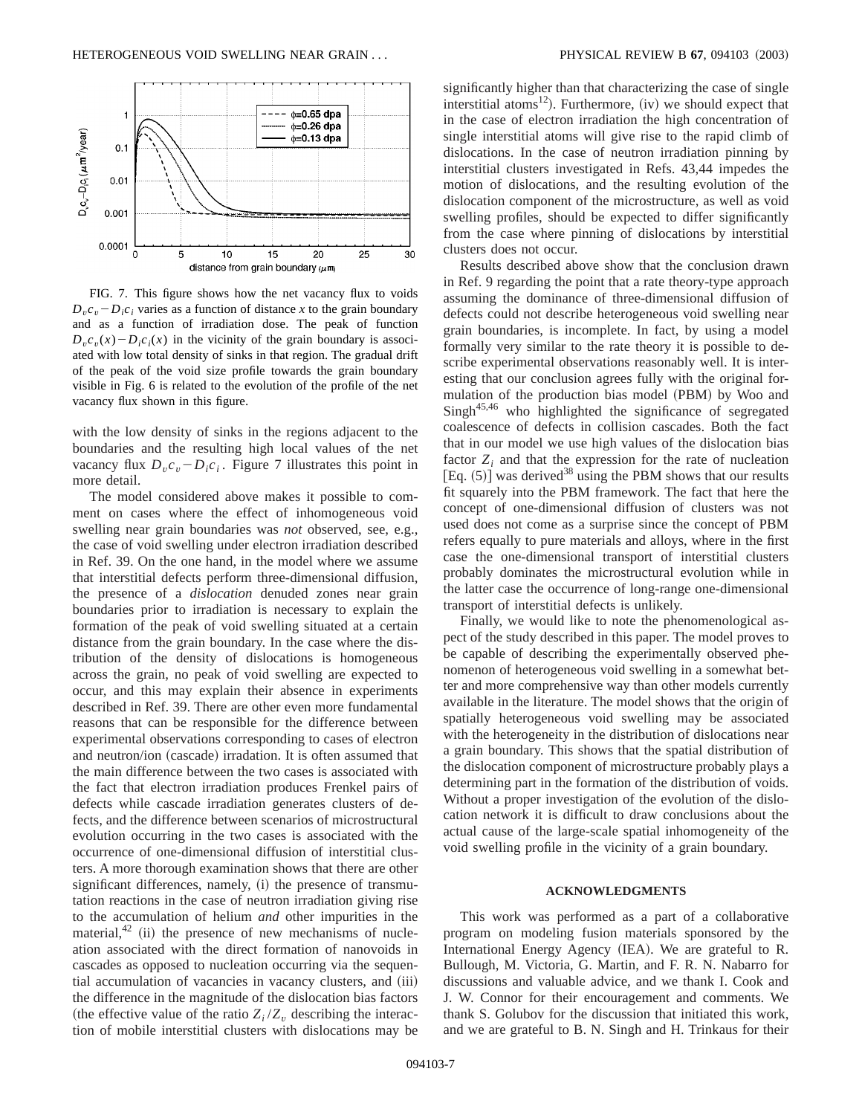

FIG. 7. This figure shows how the net vacancy flux to voids  $D_v c_v - D_i c_i$  varies as a function of distance *x* to the grain boundary and as a function of irradiation dose. The peak of function  $D_v c_v(x) - D_i c_i(x)$  in the vicinity of the grain boundary is associated with low total density of sinks in that region. The gradual drift of the peak of the void size profile towards the grain boundary visible in Fig. 6 is related to the evolution of the profile of the net vacancy flux shown in this figure.

with the low density of sinks in the regions adjacent to the boundaries and the resulting high local values of the net vacancy flux  $D_v c_v - D_i c_i$ . Figure 7 illustrates this point in more detail.

The model considered above makes it possible to comment on cases where the effect of inhomogeneous void swelling near grain boundaries was *not* observed, see, e.g., the case of void swelling under electron irradiation described in Ref. 39. On the one hand, in the model where we assume that interstitial defects perform three-dimensional diffusion, the presence of a *dislocation* denuded zones near grain boundaries prior to irradiation is necessary to explain the formation of the peak of void swelling situated at a certain distance from the grain boundary. In the case where the distribution of the density of dislocations is homogeneous across the grain, no peak of void swelling are expected to occur, and this may explain their absence in experiments described in Ref. 39. There are other even more fundamental reasons that can be responsible for the difference between experimental observations corresponding to cases of electron and neutron/ion (cascade) irradation. It is often assumed that the main difference between the two cases is associated with the fact that electron irradiation produces Frenkel pairs of defects while cascade irradiation generates clusters of defects, and the difference between scenarios of microstructural evolution occurring in the two cases is associated with the occurrence of one-dimensional diffusion of interstitial clusters. A more thorough examination shows that there are other significant differences, namely, (i) the presence of transmutation reactions in the case of neutron irradiation giving rise to the accumulation of helium *and* other impurities in the material,  $42$  (ii) the presence of new mechanisms of nucleation associated with the direct formation of nanovoids in cascades as opposed to nucleation occurring via the sequential accumulation of vacancies in vacancy clusters, and (iii) the difference in the magnitude of the dislocation bias factors (the effective value of the ratio  $Z_i/Z_v$  describing the interaction of mobile interstitial clusters with dislocations may be significantly higher than that characterizing the case of single interstitial atoms<sup>12</sup>). Furthermore, (iv) we should expect that in the case of electron irradiation the high concentration of single interstitial atoms will give rise to the rapid climb of dislocations. In the case of neutron irradiation pinning by interstitial clusters investigated in Refs. 43,44 impedes the motion of dislocations, and the resulting evolution of the dislocation component of the microstructure, as well as void swelling profiles, should be expected to differ significantly from the case where pinning of dislocations by interstitial clusters does not occur.

Results described above show that the conclusion drawn in Ref. 9 regarding the point that a rate theory-type approach assuming the dominance of three-dimensional diffusion of defects could not describe heterogeneous void swelling near grain boundaries, is incomplete. In fact, by using a model formally very similar to the rate theory it is possible to describe experimental observations reasonably well. It is interesting that our conclusion agrees fully with the original formulation of the production bias model (PBM) by Woo and Singh<sup>45,46</sup> who highlighted the significance of segregated coalescence of defects in collision cascades. Both the fact that in our model we use high values of the dislocation bias factor  $Z_i$  and that the expression for the rate of nucleation  $[Eq. (5)]$  was derived<sup>38</sup> using the PBM shows that our results fit squarely into the PBM framework. The fact that here the concept of one-dimensional diffusion of clusters was not used does not come as a surprise since the concept of PBM refers equally to pure materials and alloys, where in the first case the one-dimensional transport of interstitial clusters probably dominates the microstructural evolution while in the latter case the occurrence of long-range one-dimensional transport of interstitial defects is unlikely.

Finally, we would like to note the phenomenological aspect of the study described in this paper. The model proves to be capable of describing the experimentally observed phenomenon of heterogeneous void swelling in a somewhat better and more comprehensive way than other models currently available in the literature. The model shows that the origin of spatially heterogeneous void swelling may be associated with the heterogeneity in the distribution of dislocations near a grain boundary. This shows that the spatial distribution of the dislocation component of microstructure probably plays a determining part in the formation of the distribution of voids. Without a proper investigation of the evolution of the dislocation network it is difficult to draw conclusions about the actual cause of the large-scale spatial inhomogeneity of the void swelling profile in the vicinity of a grain boundary.

### **ACKNOWLEDGMENTS**

This work was performed as a part of a collaborative program on modeling fusion materials sponsored by the International Energy Agency (IEA). We are grateful to R. Bullough, M. Victoria, G. Martin, and F. R. N. Nabarro for discussions and valuable advice, and we thank I. Cook and J. W. Connor for their encouragement and comments. We thank S. Golubov for the discussion that initiated this work, and we are grateful to B. N. Singh and H. Trinkaus for their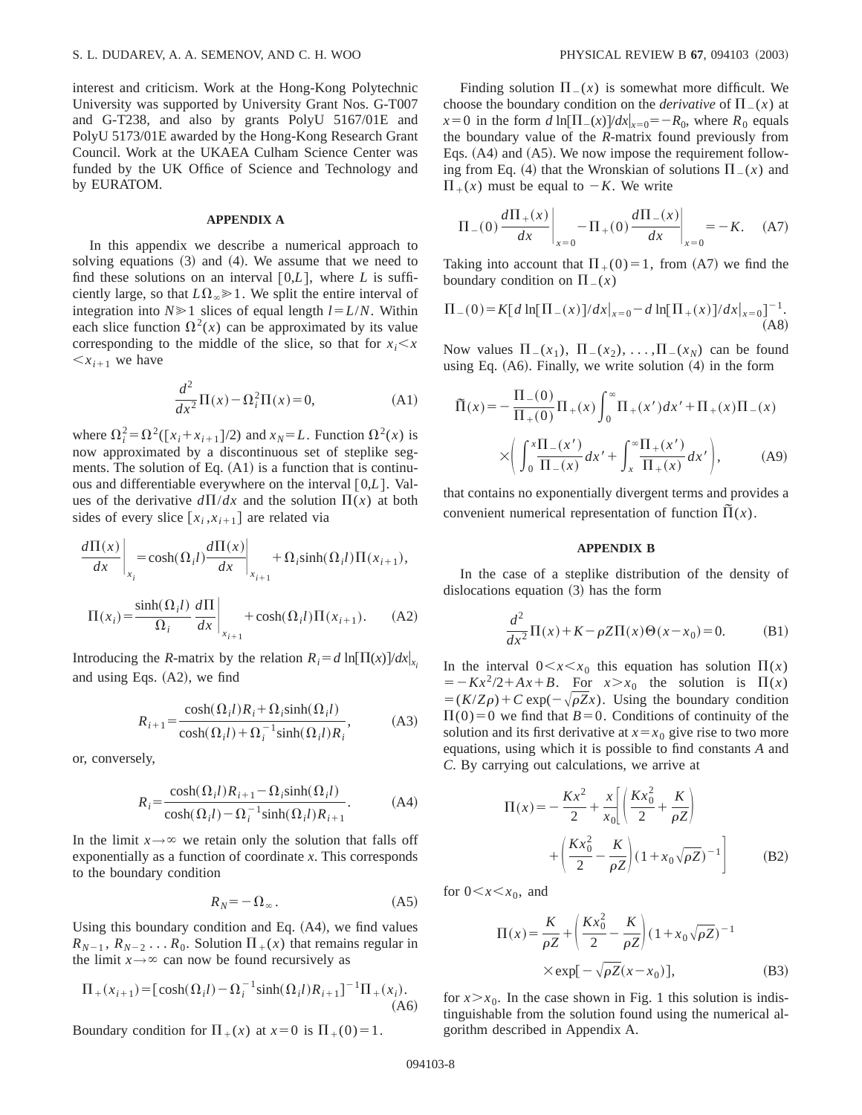interest and criticism. Work at the Hong-Kong Polytechnic University was supported by University Grant Nos. G-T007 and G-T238, and also by grants PolyU 5167/01E and PolyU 5173/01E awarded by the Hong-Kong Research Grant Council. Work at the UKAEA Culham Science Center was funded by the UK Office of Science and Technology and by EURATOM.

#### **APPENDIX A**

In this appendix we describe a numerical approach to solving equations  $(3)$  and  $(4)$ . We assume that we need to find these solutions on an interval  $[0,L]$ , where *L* is sufficiently large, so that  $L\Omega_{\infty} \ge 1$ . We split the entire interval of integration into  $N \ge 1$  slices of equal length  $l = L/N$ . Within each slice function  $\Omega^2(x)$  can be approximated by its value corresponding to the middle of the slice, so that for  $x_i < x$  $\langle x_{i+1} \rangle$  we have

$$
\frac{d^2}{dx^2}\Pi(x) - \Omega_i^2\Pi(x) = 0,
$$
\n(A1)

where  $\Omega_i^2 = \Omega^2([\mathbf{x}_i + \mathbf{x}_{i+1}]/2)$  and  $\mathbf{x}_N = L$ . Function  $\Omega^2(\mathbf{x})$  is now approximated by a discontinuous set of steplike segments. The solution of Eq.  $(A1)$  is a function that is continuous and differentiable everywhere on the interval  $[0,L]$ . Values of the derivative  $d\Pi/dx$  and the solution  $\Pi(x)$  at both sides of every slice  $[x_i, x_{i+1}]$  are related via

$$
\frac{d\Pi(x)}{dx}\bigg|_{x_i} = \cosh(\Omega_i l) \frac{d\Pi(x)}{dx}\bigg|_{x_{i+1}} + \Omega_i \sinh(\Omega_i l) \Pi(x_{i+1}),
$$

$$
\Pi(x_i) = \frac{\sinh(\Omega_i l)}{\Omega_i} \frac{d\Pi}{dx}\bigg|_{x_{i+1}} + \cosh(\Omega_i l)\Pi(x_{i+1}).
$$
 (A2)

Introducing the *R*-matrix by the relation  $R_i = d \ln[\Pi(x)]/dx|_x$ . and using Eqs.  $(A2)$ , we find

$$
R_{i+1} = \frac{\cosh(\Omega_i l) R_i + \Omega_i \sinh(\Omega_i l)}{\cosh(\Omega_i l) + \Omega_i^{-1} \sinh(\Omega_i l) R_i},
$$
(A3)

or, conversely,

$$
R_i = \frac{\cosh(\Omega_i l) R_{i+1} - \Omega_i \sinh(\Omega_i l)}{\cosh(\Omega_i l) - \Omega_i^{-1} \sinh(\Omega_i l) R_{i+1}}.
$$
 (A4)

In the limit  $x \rightarrow \infty$  we retain only the solution that falls off exponentially as a function of coordinate *x*. This corresponds to the boundary condition

$$
R_N = -\Omega_\infty \,. \tag{A5}
$$

Using this boundary condition and Eq.  $(A4)$ , we find values  $R_{N-1}$ ,  $R_{N-2}$ ...  $R_0$ . Solution  $\Pi_+(x)$  that remains regular in the limit  $x \rightarrow \infty$  can now be found recursively as

$$
\Pi_{+}(x_{i+1}) = [\cosh(\Omega_{i}l) - \Omega_{i}^{-1}\sinh(\Omega_{i}l)R_{i+1}]^{-1}\Pi_{+}(x_{i}).
$$
\n(A6)

Boundary condition for  $\Pi_+(x)$  at  $x=0$  is  $\Pi_+(0)=1$ .

Finding solution  $\Pi(x)$  is somewhat more difficult. We choose the boundary condition on the *derivative* of  $\Pi(x)$  at  $x=0$  in the form *d* ln $[\Pi_-(x)]/dx|_{x=0} = -R_0$ , where  $R_0$  equals the boundary value of the *R*-matrix found previously from Eqs.  $(A4)$  and  $(A5)$ . We now impose the requirement following from Eq. (4) that the Wronskian of solutions  $\Pi(x)$  and  $\Pi_+(x)$  must be equal to  $-K$ . We write

$$
\Pi_{-}(0) \frac{d\Pi_{+}(x)}{dx}\bigg|_{x=0} - \Pi_{+}(0) \frac{d\Pi_{-}(x)}{dx}\bigg|_{x=0} = -K. \quad (A7)
$$

Taking into account that  $\Pi_{+}(0)=1$ , from (A7) we find the boundary condition on  $\Pi(x)$ 

$$
\Pi_{-}(0) = K[d \ln[\Pi_{-}(x)]/dx|_{x=0} - d \ln[\Pi_{+}(x)]/dx|_{x=0}]^{-1}.
$$
\n(A8)

Now values  $\Pi_-(x_1)$ ,  $\Pi_-(x_2)$ , ...,  $\Pi_-(x_N)$  can be found using Eq.  $(A6)$ . Finally, we write solution  $(4)$  in the form

$$
\tilde{\Pi}(x) = -\frac{\Pi_{-}(0)}{\Pi_{+}(0)} \Pi_{+}(x) \int_{0}^{\infty} \Pi_{+}(x') dx' + \Pi_{+}(x) \Pi_{-}(x)
$$
\n
$$
\times \left( \int_{0}^{x} \frac{\Pi_{-}(x')}{\Pi_{-}(x)} dx' + \int_{x}^{\infty} \frac{\Pi_{+}(x')}{\Pi_{+}(x)} dx' \right), \tag{A9}
$$

that contains no exponentially divergent terms and provides a convenient numerical representation of function  $\overline{\Pi}(x)$ .

#### **APPENDIX B**

In the case of a steplike distribution of the density of dislocations equation  $(3)$  has the form

$$
\frac{d^2}{dx^2}\Pi(x) + K - \rho Z\Pi(x)\Theta(x - x_0) = 0.
$$
 (B1)

In the interval  $0 \le x \le x_0$  this equation has solution  $\Pi(x)$  $= -Kx^2/2 + Ax + B$ . For  $x > x_0$  the solution is  $\Pi(x)$  $= (K/Z\rho) + C \exp(-\sqrt{\rho Z}x)$ . Using the boundary condition  $\Pi(0)=0$  we find that  $B=0$ . Conditions of continuity of the solution and its first derivative at  $x = x_0$  give rise to two more equations, using which it is possible to find constants *A* and *C*. By carrying out calculations, we arrive at

$$
\Pi(x) = -\frac{Kx^2}{2} + \frac{x}{x_0} \left[ \left( \frac{Kx_0^2}{2} + \frac{K}{\rho Z} \right) + \left( \frac{Kx_0^2}{2} - \frac{K}{\rho Z} \right) (1 + x_0 \sqrt{\rho Z})^{-1} \right]
$$
(B2)

for  $0 < x < x_0$ , and

$$
\Pi(x) = \frac{K}{\rho Z} + \left(\frac{Kx_0^2}{2} - \frac{K}{\rho Z}\right) (1 + x_0 \sqrt{\rho Z})^{-1}
$$
  
× exp[- $\sqrt{\rho Z}(x - x_0)$ ], (B3)

for  $x \ge x_0$ . In the case shown in Fig. 1 this solution is indistinguishable from the solution found using the numerical algorithm described in Appendix A.